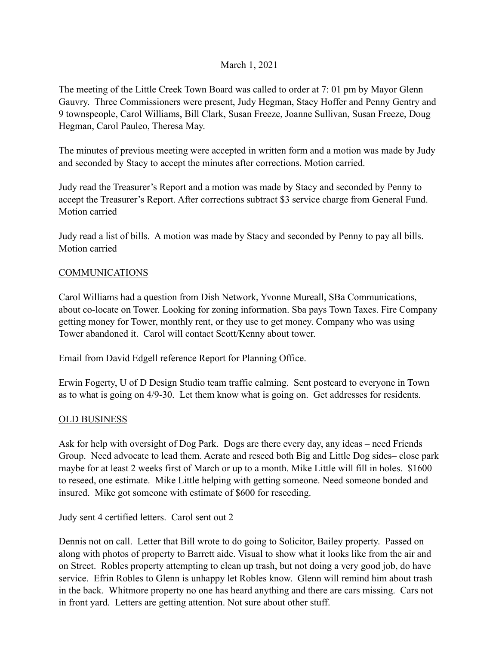## March 1, 2021

The meeting of the Little Creek Town Board was called to order at 7: 01 pm by Mayor Glenn Gauvry. Three Commissioners were present, Judy Hegman, Stacy Hoffer and Penny Gentry and 9 townspeople, Carol Williams, Bill Clark, Susan Freeze, Joanne Sullivan, Susan Freeze, Doug Hegman, Carol Pauleo, Theresa May.

The minutes of previous meeting were accepted in written form and a motion was made by Judy and seconded by Stacy to accept the minutes after corrections. Motion carried.

Judy read the Treasurer's Report and a motion was made by Stacy and seconded by Penny to accept the Treasurer's Report. After corrections subtract \$3 service charge from General Fund. Motion carried

Judy read a list of bills. A motion was made by Stacy and seconded by Penny to pay all bills. Motion carried

## **COMMUNICATIONS**

Carol Williams had a question from Dish Network, Yvonne Mureall, SBa Communications, about co-locate on Tower. Looking for zoning information. Sba pays Town Taxes. Fire Company getting money for Tower, monthly rent, or they use to get money. Company who was using Tower abandoned it. Carol will contact Scott/Kenny about tower.

Email from David Edgell reference Report for Planning Office.

Erwin Fogerty, U of D Design Studio team traffic calming. Sent postcard to everyone in Town as to what is going on 4/9-30. Let them know what is going on. Get addresses for residents.

## OLD BUSINESS

Ask for help with oversight of Dog Park. Dogs are there every day, any ideas – need Friends Group. Need advocate to lead them. Aerate and reseed both Big and Little Dog sides– close park maybe for at least 2 weeks first of March or up to a month. Mike Little will fill in holes. \$1600 to reseed, one estimate. Mike Little helping with getting someone. Need someone bonded and insured. Mike got someone with estimate of \$600 for reseeding.

Judy sent 4 certified letters. Carol sent out 2

Dennis not on call. Letter that Bill wrote to do going to Solicitor, Bailey property. Passed on along with photos of property to Barrett aide. Visual to show what it looks like from the air and on Street. Robles property attempting to clean up trash, but not doing a very good job, do have service. Efrin Robles to Glenn is unhappy let Robles know. Glenn will remind him about trash in the back. Whitmore property no one has heard anything and there are cars missing. Cars not in front yard. Letters are getting attention. Not sure about other stuff.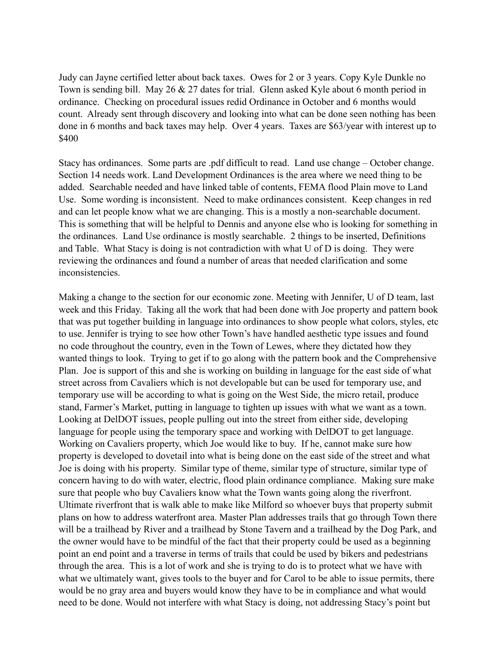Judy can Jayne certified letter about back taxes. Owes for 2 or 3 years. Copy Kyle Dunkle no Town is sending bill. May 26 & 27 dates for trial. Glenn asked Kyle about 6 month period in ordinance. Checking on procedural issues redid Ordinance in October and 6 months would count. Already sent through discovery and looking into what can be done seen nothing has been done in 6 months and back taxes may help. Over 4 years. Taxes are \$63/year with interest up to \$400

Stacy has ordinances. Some parts are .pdf difficult to read. Land use change – October change. Section 14 needs work. Land Development Ordinances is the area where we need thing to be added. Searchable needed and have linked table of contents, FEMA flood Plain move to Land Use. Some wording is inconsistent. Need to make ordinances consistent. Keep changes in red and can let people know what we are changing. This is a mostly a non-searchable document. This is something that will be helpful to Dennis and anyone else who is looking for something in the ordinances. Land Use ordinance is mostly searchable. 2 things to be inserted, Definitions and Table. What Stacy is doing is not contradiction with what U of D is doing. They were reviewing the ordinances and found a number of areas that needed clarification and some inconsistencies.

Making a change to the section for our economic zone. Meeting with Jennifer, U of D team, last week and this Friday. Taking all the work that had been done with Joe property and pattern book that was put together building in language into ordinances to show people what colors, styles, etc to use. Jennifer is trying to see how other Town's have handled aesthetic type issues and found no code throughout the country, even in the Town of Lewes, where they dictated how they wanted things to look. Trying to get if to go along with the pattern book and the Comprehensive Plan. Joe is support of this and she is working on building in language for the east side of what street across from Cavaliers which is not developable but can be used for temporary use, and temporary use will be according to what is going on the West Side, the micro retail, produce stand, Farmer's Market, putting in language to tighten up issues with what we want as a town. Looking at DelDOT issues, people pulling out into the street from either side, developing language for people using the temporary space and working with DelDOT to get language. Working on Cavaliers property, which Joe would like to buy. If he, cannot make sure how property is developed to dovetail into what is being done on the east side of the street and what Joe is doing with his property. Similar type of theme, similar type of structure, similar type of concern having to do with water, electric, flood plain ordinance compliance. Making sure make sure that people who buy Cavaliers know what the Town wants going along the riverfront. Ultimate riverfront that is walk able to make like Milford so whoever buys that property submit plans on how to address waterfront area. Master Plan addresses trails that go through Town there will be a trailhead by River and a trailhead by Stone Tavern and a trailhead by the Dog Park, and the owner would have to be mindful of the fact that their property could be used as a beginning point an end point and a traverse in terms of trails that could be used by bikers and pedestrians through the area. This is a lot of work and she is trying to do is to protect what we have with what we ultimately want, gives tools to the buyer and for Carol to be able to issue permits, there would be no gray area and buyers would know they have to be in compliance and what would need to be done. Would not interfere with what Stacy is doing, not addressing Stacy's point but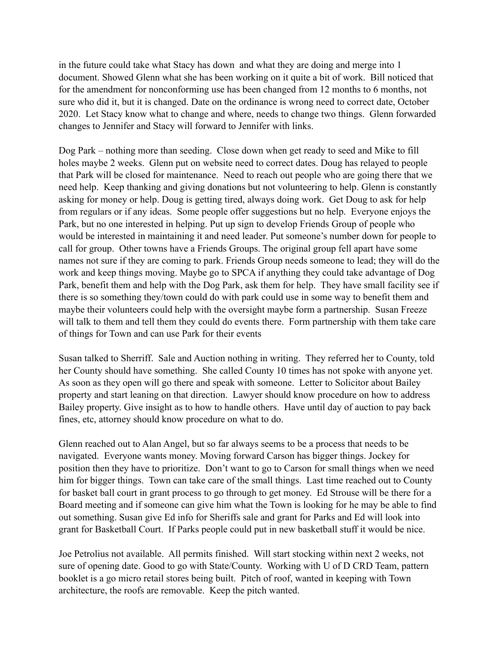in the future could take what Stacy has down and what they are doing and merge into 1 document. Showed Glenn what she has been working on it quite a bit of work. Bill noticed that for the amendment for nonconforming use has been changed from 12 months to 6 months, not sure who did it, but it is changed. Date on the ordinance is wrong need to correct date, October 2020. Let Stacy know what to change and where, needs to change two things. Glenn forwarded changes to Jennifer and Stacy will forward to Jennifer with links.

Dog Park – nothing more than seeding. Close down when get ready to seed and Mike to fill holes maybe 2 weeks. Glenn put on website need to correct dates. Doug has relayed to people that Park will be closed for maintenance. Need to reach out people who are going there that we need help. Keep thanking and giving donations but not volunteering to help. Glenn is constantly asking for money or help. Doug is getting tired, always doing work. Get Doug to ask for help from regulars or if any ideas. Some people offer suggestions but no help. Everyone enjoys the Park, but no one interested in helping. Put up sign to develop Friends Group of people who would be interested in maintaining it and need leader. Put someone's number down for people to call for group. Other towns have a Friends Groups. The original group fell apart have some names not sure if they are coming to park. Friends Group needs someone to lead; they will do the work and keep things moving. Maybe go to SPCA if anything they could take advantage of Dog Park, benefit them and help with the Dog Park, ask them for help. They have small facility see if there is so something they/town could do with park could use in some way to benefit them and maybe their volunteers could help with the oversight maybe form a partnership. Susan Freeze will talk to them and tell them they could do events there. Form partnership with them take care of things for Town and can use Park for their events

Susan talked to Sherriff. Sale and Auction nothing in writing. They referred her to County, told her County should have something. She called County 10 times has not spoke with anyone yet. As soon as they open will go there and speak with someone. Letter to Solicitor about Bailey property and start leaning on that direction. Lawyer should know procedure on how to address Bailey property. Give insight as to how to handle others. Have until day of auction to pay back fines, etc, attorney should know procedure on what to do.

Glenn reached out to Alan Angel, but so far always seems to be a process that needs to be navigated. Everyone wants money. Moving forward Carson has bigger things. Jockey for position then they have to prioritize. Don't want to go to Carson for small things when we need him for bigger things. Town can take care of the small things. Last time reached out to County for basket ball court in grant process to go through to get money. Ed Strouse will be there for a Board meeting and if someone can give him what the Town is looking for he may be able to find out something. Susan give Ed info for Sheriffs sale and grant for Parks and Ed will look into grant for Basketball Court. If Parks people could put in new basketball stuff it would be nice.

Joe Petrolius not available. All permits finished. Will start stocking within next 2 weeks, not sure of opening date. Good to go with State/County. Working with U of D CRD Team, pattern booklet is a go micro retail stores being built. Pitch of roof, wanted in keeping with Town architecture, the roofs are removable. Keep the pitch wanted.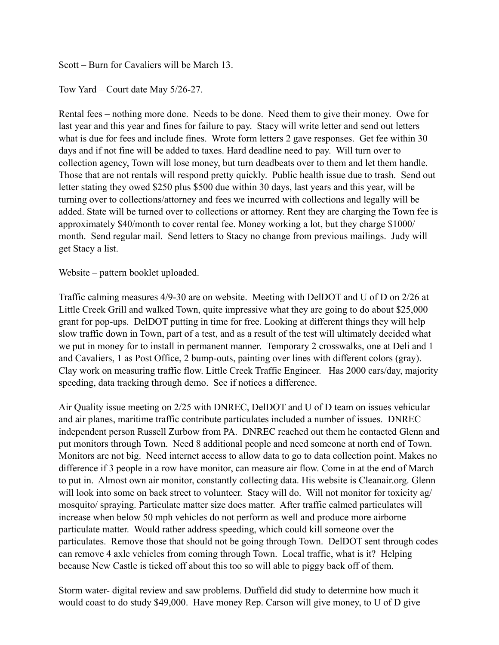Scott – Burn for Cavaliers will be March 13.

Tow Yard – Court date May 5/26-27.

Rental fees – nothing more done. Needs to be done. Need them to give their money. Owe for last year and this year and fines for failure to pay. Stacy will write letter and send out letters what is due for fees and include fines. Wrote form letters 2 gave responses. Get fee within 30 days and if not fine will be added to taxes. Hard deadline need to pay. Will turn over to collection agency, Town will lose money, but turn deadbeats over to them and let them handle. Those that are not rentals will respond pretty quickly. Public health issue due to trash. Send out letter stating they owed \$250 plus \$500 due within 30 days, last years and this year, will be turning over to collections/attorney and fees we incurred with collections and legally will be added. State will be turned over to collections or attorney. Rent they are charging the Town fee is approximately \$40/month to cover rental fee. Money working a lot, but they charge \$1000/ month. Send regular mail. Send letters to Stacy no change from previous mailings. Judy will get Stacy a list.

Website – pattern booklet uploaded.

Traffic calming measures 4/9-30 are on website. Meeting with DelDOT and U of D on 2/26 at Little Creek Grill and walked Town, quite impressive what they are going to do about \$25,000 grant for pop-ups. DelDOT putting in time for free. Looking at different things they will help slow traffic down in Town, part of a test, and as a result of the test will ultimately decided what we put in money for to install in permanent manner. Temporary 2 crosswalks, one at Deli and 1 and Cavaliers, 1 as Post Office, 2 bump-outs, painting over lines with different colors (gray). Clay work on measuring traffic flow. Little Creek Traffic Engineer. Has 2000 cars/day, majority speeding, data tracking through demo. See if notices a difference.

Air Quality issue meeting on 2/25 with DNREC, DelDOT and U of D team on issues vehicular and air planes, maritime traffic contribute particulates included a number of issues. DNREC independent person Russell Zurbow from PA. DNREC reached out them he contacted Glenn and put monitors through Town. Need 8 additional people and need someone at north end of Town. Monitors are not big. Need internet access to allow data to go to data collection point. Makes no difference if 3 people in a row have monitor, can measure air flow. Come in at the end of March to put in. Almost own air monitor, constantly collecting data. His website is Cleanair.org. Glenn will look into some on back street to volunteer. Stacy will do. Will not monitor for toxicity ag/ mosquito/ spraying. Particulate matter size does matter. After traffic calmed particulates will increase when below 50 mph vehicles do not perform as well and produce more airborne particulate matter. Would rather address speeding, which could kill someone over the particulates. Remove those that should not be going through Town. DelDOT sent through codes can remove 4 axle vehicles from coming through Town. Local traffic, what is it? Helping because New Castle is ticked off about this too so will able to piggy back off of them.

Storm water- digital review and saw problems. Duffield did study to determine how much it would coast to do study \$49,000. Have money Rep. Carson will give money, to U of D give